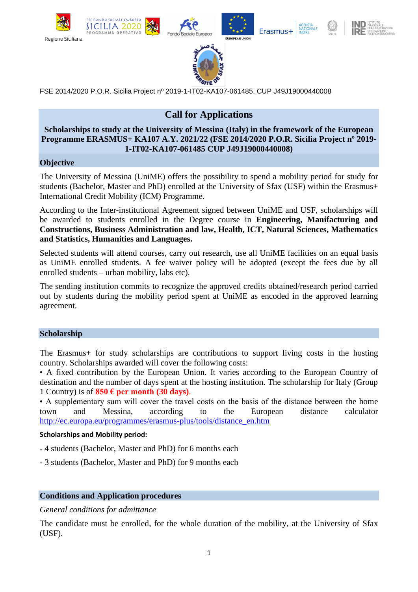





Erasmus+





FSE 2014/2020 P.O.R. Sicilia Project nº 2019-1-IT02-KA107-061485, CUP J49J19000440008

# **Call for Applications**

#### **Scholarships to study at the University of Messina (Italy) in the framework of the European Programme ERASMUS+ KA107 A.Y. 2021/22 (FSE 2014/2020 P.O.R. Sicilia Project nº 2019- 1-IT02-KA107-061485 CUP J49J19000440008)**

## **Objective**

The University of Messina (UniME) offers the possibility to spend a mobility period for study for students (Bachelor, Master and PhD) enrolled at the University of Sfax (USF) within the Erasmus+ International Credit Mobility (ICM) Programme.

According to the Inter-institutional Agreement signed between UniME and USF, scholarships will be awarded to students enrolled in the Degree course in **Engineering, Manifacturing and Constructions, Business Administration and law, Health, ICT, Natural Sciences, Mathematics and Statistics, Humanities and Languages.**

Selected students will attend courses, carry out research, use all UniME facilities on an equal basis as UniME enrolled students. A fee waiver policy will be adopted (except the fees due by all enrolled students – urban mobility, labs etc).

The sending institution commits to recognize the approved credits obtained/research period carried out by students during the mobility period spent at UniME as encoded in the approved learning agreement.

#### **Scholarship**

The Erasmus+ for study scholarships are contributions to support living costs in the hosting country. Scholarships awarded will cover the following costs:

• A fixed contribution by the European Union. It varies according to the European Country of destination and the number of days spent at the hosting institution. The scholarship for Italy (Group 1 Country) is of  $850 \text{ }\mathbf{e}$  per month (30 days).

• A supplementary sum will cover the travel costs on the basis of the distance between the home town and Messina, according to the European distance calculator [http://ec.europa.eu/programmes/erasmus-plus/tools/distance\\_en.htm](http://ec.europa.eu/programmes/erasmus-plus/tools/distance_en.htm)

#### **Scholarships and Mobility period:**

- 4 students (Bachelor, Master and PhD) for 6 months each
- 3 students (Bachelor, Master and PhD) for 9 months each

## **Conditions and Application procedures**

#### *General conditions for admittance*

The candidate must be enrolled, for the whole duration of the mobility, at the University of Sfax (USF).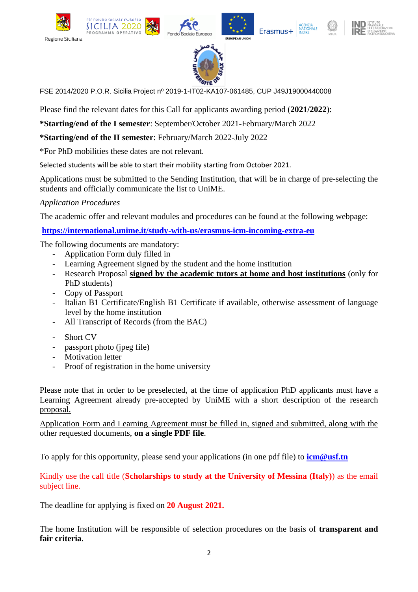





Erasmus+





FSE 2014/2020 P.O.R. Sicilia Project nº 2019-1-IT02-KA107-061485, CUP J49J19000440008

Please find the relevant dates for this Call for applicants awarding period (**2021/2022**):

**\*Starting/end of the I semester**: September/October 2021-February/March 2022

**\*Starting/end of the II semester**: February/March 2022-July 2022

\*For PhD mobilities these dates are not relevant.

**SICILIA 2020** 

ROGRAMMA OPERATIVO

Selected students will be able to start their mobility starting from October 2021.

Applications must be submitted to the Sending Institution, that will be in charge of pre-selecting the students and officially communicate the list to UniME.

*Application Procedures* 

The academic offer and relevant modules and procedures can be found at the following webpage:

**<https://international.unime.it/study-with-us/erasmus-icm-incoming-extra-eu>**

The following documents are mandatory:

- Application Form duly filled in
- Learning Agreement signed by the student and the home institution
- Research Proposal **signed by the academic tutors at home and host institutions** (only for PhD students)
- Copy of Passport
- Italian B1 Certificate/English B1 Certificate if available, otherwise assessment of language level by the home institution
- All Transcript of Records (from the BAC)
- Short CV
- passport photo (jpeg file)
- Motivation letter
- Proof of registration in the home university

Please note that in order to be preselected, at the time of application PhD applicants must have a Learning Agreement already pre-accepted by UniME with a short description of the research proposal.

Application Form and Learning Agreement must be filled in, signed and submitted, along with the other requested documents, **on a single PDF file**.

To apply for this opportunity, please send your applications (in one pdf file) to **[icm@usf.tn](mailto:icm@usf.tn)**

## Kindly use the call title (**Scholarships to study at the University of Messina (Italy)**) as the email subject line.

The deadline for applying is fixed on **20 August 2021.**

The home Institution will be responsible of selection procedures on the basis of **transparent and fair criteria**.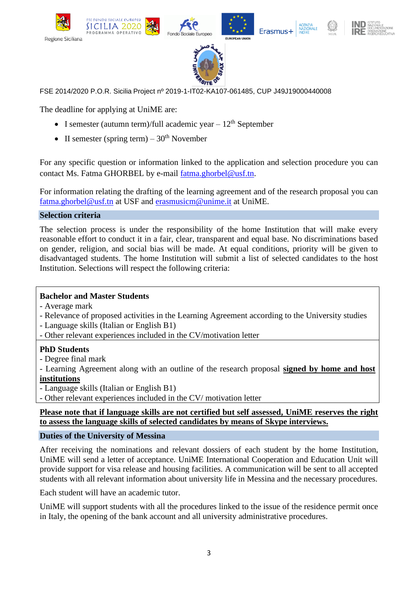





Erasmus+





FSE 2014/2020 P.O.R. Sicilia Project nº 2019-1-IT02-KA107-061485, CUP J49J19000440008

The deadline for applying at UniME are:

**SICILIA 2020** 

ROGRAMMA OPERATIV

- I semester (autumn term)/full academic year  $-12<sup>th</sup>$  September
- II semester (spring term)  $30<sup>th</sup>$  November

For any specific question or information linked to the application and selection procedure you can contact Ms. Fatma GHORBEL by e-mail [fatma.ghorbel@usf.tn.](mailto:fatma.ghorbel@usf.tn)

For information relating the drafting of the learning agreement and of the research proposal you can [fatma.ghorbel@usf.tn](mailto:fatma.ghorbel@usf.tn) at USF and [erasmusicm@unime.it](mailto:erasmusicm@unime.it) at UniME.

**Selection criteria** 

The selection process is under the responsibility of the home Institution that will make every reasonable effort to conduct it in a fair, clear, transparent and equal base. No discriminations based on gender, religion, and social bias will be made. At equal conditions, priority will be given to disadvantaged students. The home Institution will submit a list of selected candidates to the host Institution. Selections will respect the following criteria:

## **Bachelor and Master Students**

- Average mark
- Relevance of proposed activities in the Learning Agreement according to the University studies
- Language skills (Italian or English B1)
- Other relevant experiences included in the CV/motivation letter

## **PhD Students**

- Degree final mark

- Learning Agreement along with an outline of the research proposal **signed by home and host institutions**

- Language skills (Italian or English B1)

- Other relevant experiences included in the CV/ motivation letter

**Please note that if language skills are not certified but self assessed, UniME reserves the right to assess the language skills of selected candidates by means of Skype interviews.**

## **Duties of the University of Messina**

After receiving the nominations and relevant dossiers of each student by the home Institution, UniME will send a letter of acceptance. UniME International Cooperation and Education Unit will provide support for visa release and housing facilities. A communication will be sent to all accepted students with all relevant information about university life in Messina and the necessary procedures.

Each student will have an academic tutor.

UniME will support students with all the procedures linked to the issue of the residence permit once in Italy, the opening of the bank account and all university administrative procedures.